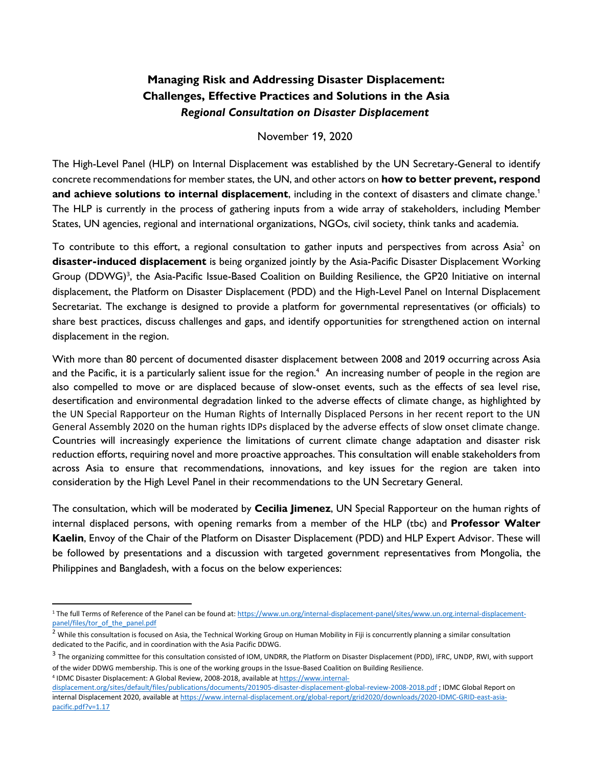# **Managing Risk and Addressing Disaster Displacement: Challenges, Effective Practices and Solutions in the Asia**  *Regional Consultation on Disaster Displacement*

#### November 19, 2020

The High-Level Panel (HLP) on Internal Displacement was established by the UN Secretary-General to identify concrete recommendations for member states, the UN, and other actors on **how to better prevent, respond and achieve solutions to internal displacement**, including in the context of disasters and climate change.<sup>1</sup> The HLP is currently in the process of gathering inputs from a wide array of stakeholders, including Member States, UN agencies, regional and international organizations, NGOs, civil society, think tanks and academia.

To contribute to this effort, a regional consultation to gather inputs and perspectives from across Asia<sup>2</sup> on **disaster-induced displacement** is being organized jointly by the Asia-Pacific Disaster Displacement Working Group (DDWG)<sup>3</sup>, the Asia-Pacific Issue-Based Coalition on Building Resilience, the GP20 Initiative on internal displacement, the Platform on Disaster Displacement (PDD) and the High-Level Panel on Internal Displacement Secretariat. The exchange is designed to provide a platform for governmental representatives (or officials) to share best practices, discuss challenges and gaps, and identify opportunities for strengthened action on internal displacement in the region.

With more than 80 percent of documented disaster displacement between 2008 and 2019 occurring across Asia and the Pacific, it is a particularly salient issue for the region.<sup>4</sup> An increasing number of people in the region are also compelled to move or are displaced because of slow-onset events, such as the effects of sea level rise, desertification and environmental degradation linked to the adverse effects of climate change, as highlighted by the UN Special Rapporteur on the Human Rights of Internally Displaced Persons in her recent report to the UN General Assembly 2020 on the human rights IDPs displaced by the adverse effects of slow onset climate change. Countries will increasingly experience the limitations of current climate change adaptation and disaster risk reduction efforts, requiring novel and more proactive approaches. This consultation will enable stakeholders from across Asia to ensure that recommendations, innovations, and key issues for the region are taken into consideration by the High Level Panel in their recommendations to the UN Secretary General.

The consultation, which will be moderated by **Cecilia Jimenez**, UN Special Rapporteur on the human rights of internal displaced persons, with opening remarks from a member of the HLP (tbc) and **Professor Walter Kaelin**, Envoy of the Chair of the Platform on Disaster Displacement (PDD) and HLP Expert Advisor. These will be followed by presentations and a discussion with targeted government representatives from Mongolia, the Philippines and Bangladesh, with a focus on the below experiences:

<sup>&</sup>lt;sup>1</sup> The full Terms of Reference of the Panel can be found at[: https://www.un.org/internal-displacement-panel/sites/www.un.org.internal-displacement](https://www.un.org/internal-displacement-panel/sites/www.un.org.internal-displacement-panel/files/tor_of_the_panel.pdf)[panel/files/tor\\_of\\_the\\_panel.pdf](https://www.un.org/internal-displacement-panel/sites/www.un.org.internal-displacement-panel/files/tor_of_the_panel.pdf)

 $<sup>2</sup>$  While this consultation is focused on Asia, the Technical Working Group on Human Mobility in Fiji is concurrently planning a similar consultation</sup> dedicated to the Pacific, and in coordination with the Asia Pacific DDWG.

<sup>&</sup>lt;sup>3</sup> The organizing committee for this consultation consisted of IOM, UNDRR, the Platform on Disaster Displacement (PDD), IFRC, UNDP, RWI, with support of the wider DDWG membership. This is one of the working groups in the Issue-Based Coalition on Building Resilience.

<sup>4</sup> IDMC Disaster Displacement: A Global Review, 2008-2018, available a[t https://www.internal](https://www.internal-displacement.org/sites/default/files/publications/documents/201905-disaster-displacement-global-review-2008-2018.pdf)[displacement.org/sites/default/files/publications/documents/201905-disaster-displacement-global-review-2008-2018.pdf](https://www.internal-displacement.org/sites/default/files/publications/documents/201905-disaster-displacement-global-review-2008-2018.pdf) ; IDMC Global Report on internal Displacement 2020, available a[t https://www.internal-displacement.org/global-report/grid2020/downloads/2020-IDMC-GRID-east-asia](https://www.internal-displacement.org/global-report/grid2020/downloads/2020-IDMC-GRID-east-asia-pacific.pdf?v=1.17%20)[pacific.pdf?v=1.17](https://www.internal-displacement.org/global-report/grid2020/downloads/2020-IDMC-GRID-east-asia-pacific.pdf?v=1.17%20)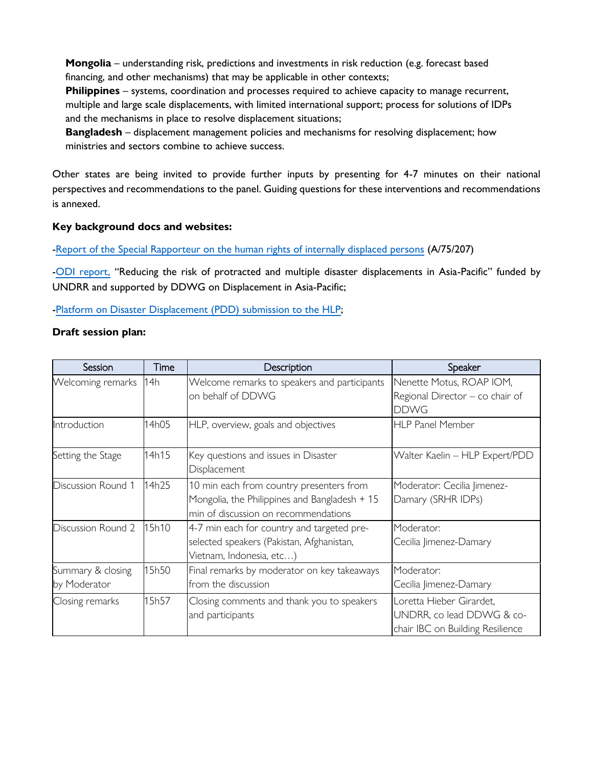**Mongolia** – understanding risk, predictions and investments in risk reduction (e.g. forecast based financing, and other mechanisms) that may be applicable in other contexts;

**Philippines** – systems, coordination and processes required to achieve capacity to manage recurrent, multiple and large scale displacements, with limited international support; process for solutions of IDPs and the mechanisms in place to resolve displacement situations;

**Bangladesh** – displacement management policies and mechanisms for resolving displacement; how ministries and sectors combine to achieve success.

Other states are being invited to provide further inputs by presenting for 4-7 minutes on their national perspectives and recommendations to the panel. Guiding questions for these interventions and recommendations is annexed.

#### **Key background docs and websites:**

[-Report of the Special Rapporteur on the human rights of internally displaced persons](https://www.undocs.org/A/75/207) (A/75/207)

[-ODI report,](https://www.odi.org/publications/16911-reducing-risk-protracted-and-multiple-disaster-displacements-asia-pacific) "Reducing the risk of protracted and multiple disaster displacements in Asia-Pacific" funded by UNDRR and supported by DDWG on Displacement in Asia-Pacific;

[-Platform on Disaster Displacement \(PDD\)](https://climate.law.columbia.edu/sites/default/files/content/docs/comments%20and%20legal%20briefs/06052020%20PDD%20submission%20to%20the%20HLP%20(FINAL).pdf) submission to the HLP;

#### **Draft session plan:**

| Session                           | Time  | Description                                                                                                                       | Speaker                                                                                   |
|-----------------------------------|-------|-----------------------------------------------------------------------------------------------------------------------------------|-------------------------------------------------------------------------------------------|
| Welcoming remarks                 | 14h   | Welcome remarks to speakers and participants<br>on behalf of DDWG                                                                 | Nenette Motus, ROAP IOM,<br>Regional Director - co chair of<br><b>DDWG</b>                |
| Introduction                      | 14h05 | HLP, overview, goals and objectives                                                                                               | <b>HLP Panel Member</b>                                                                   |
| Setting the Stage                 | 14h15 | Key questions and issues in Disaster<br>Displacement                                                                              | Walter Kaelin - HLP Expert/PDD                                                            |
| Discussion Round 1                | 14h25 | 10 min each from country presenters from<br>Mongolia, the Philippines and Bangladesh + 15<br>min of discussion on recommendations | Moderator: Cecilia Jimenez-<br>Damary (SRHR IDPs)                                         |
| Discussion Round 2                | 15h10 | 4-7 min each for country and targeted pre-<br>selected speakers (Pakistan, Afghanistan,<br>Vietnam, Indonesia, etc)               | Moderator:<br>Cecilia Jimenez-Damary                                                      |
| Summary & closing<br>by Moderator | 15h50 | Final remarks by moderator on key takeaways<br>from the discussion                                                                | Moderator:<br>Cecilia Jimenez-Damary                                                      |
| Closing remarks                   | 15h57 | Closing comments and thank you to speakers<br>and participants                                                                    | Loretta Hieber Girardet,<br>UNDRR, co lead DDWG & co-<br>chair IBC on Building Resilience |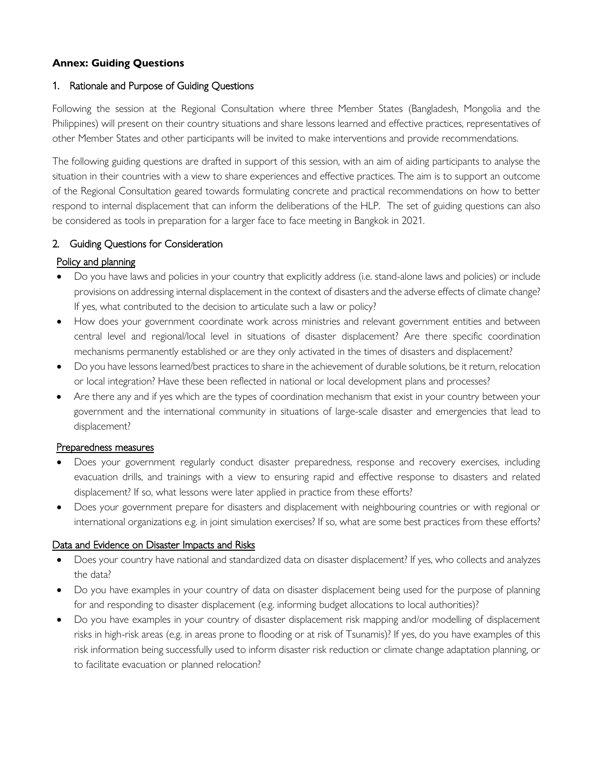# **Annex: Guiding Questions**

### 1. Rationale and Purpose of Guiding Questions

Following the session at the Regional Consultation where three Member States (Bangladesh, Mongolia and the Philippines) will present on their country situations and share lessons learned and effective practices, representatives of other Member States and other participants will be invited to make interventions and provide recommendations.

The following guiding questions are drafted in support of this session, with an aim of aiding participants to analyse the situation in their countries with a view to share experiences and effective practices. The aim is to support an outcome of the Regional Consultation geared towards formulating concrete and practical recommendations on how to better respond to internal displacement that can inform the deliberations of the HLP. The set of guiding questions can also be considered as tools in preparation for a larger face to face meeting in Bangkok in 2021.

#### 2. Guiding Questions for Consideration

## Policy and planning

- Do you have laws and policies in your country that explicitly address (i.e. stand-alone laws and policies) or include provisions on addressing internal displacement in the context of disasters and the adverse effects of climate change? If yes, what contributed to the decision to articulate such a law or policy?
- How does your government coordinate work across ministries and relevant government entities and between central level and regional/local level in situations of disaster displacement? Are there specific coordination mechanisms permanently established or are they only activated in the times of disasters and displacement?
- Do you have lessons learned/best practices to share in the achievement of durable solutions, be it return, relocation or local integration? Have these been reflected in national or local development plans and processes?
- Are there any and if yes which are the types of coordination mechanism that exist in your country between your government and the international community in situations of large-scale disaster and emergencies that lead to displacement?

#### Preparedness measures

- Does your government regularly conduct disaster preparedness, response and recovery exercises, including evacuation drills, and trainings with a view to ensuring rapid and effective response to disasters and related displacement? If so, what lessons were later applied in practice from these efforts?
- Does your government prepare for disasters and displacement with neighbouring countries or with regional or international organizations e.g. in joint simulation exercises? If so, what are some best practices from these efforts?

#### Data and Evidence on Disaster Impacts and Risks

- Does your country have national and standardized data on disaster displacement? If yes, who collects and analyzes the data?
- Do you have examples in your country of data on disaster displacement being used for the purpose of planning for and responding to disaster displacement (e.g. informing budget allocations to local authorities)?
- Do you have examples in your country of disaster displacement risk mapping and/or modelling of displacement risks in high-risk areas (e.g. in areas prone to flooding or at risk of Tsunamis)? If yes, do you have examples of this risk information being successfully used to inform disaster risk reduction or climate change adaptation planning, or to facilitate evacuation or planned relocation?